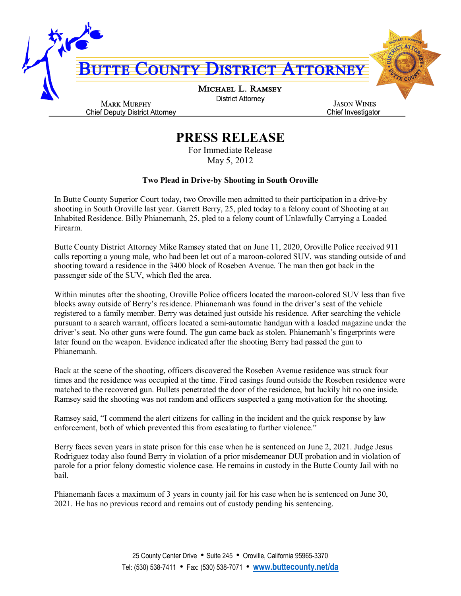

## **PRESS RELEASE**

For Immediate Release May 5, 2012

## **Two Plead in Drive-by Shooting in South Oroville**

In Butte County Superior Court today, two Oroville men admitted to their participation in a drive-by shooting in South Oroville last year. Garrett Berry, 25, pled today to a felony count of Shooting at an Inhabited Residence. Billy Phianemanh, 25, pled to a felony count of Unlawfully Carrying a Loaded Firearm.

Butte County District Attorney Mike Ramsey stated that on June 11, 2020, Oroville Police received 911 calls reporting a young male, who had been let out of a maroon-colored SUV, was standing outside of and shooting toward a residence in the 3400 block of Roseben Avenue. The man then got back in the passenger side of the SUV, which fled the area.

Within minutes after the shooting, Oroville Police officers located the maroon-colored SUV less than five blocks away outside of Berry's residence. Phianemanh was found in the driver's seat of the vehicle registered to a family member. Berry was detained just outside his residence. After searching the vehicle pursuant to a search warrant, officers located a semi-automatic handgun with a loaded magazine under the driver's seat. No other guns were found. The gun came back as stolen. Phianemanh's fingerprints were later found on the weapon. Evidence indicated after the shooting Berry had passed the gun to Phianemanh.

Back at the scene of the shooting, officers discovered the Roseben Avenue residence was struck four times and the residence was occupied at the time. Fired casings found outside the Roseben residence were matched to the recovered gun. Bullets penetrated the door of the residence, but luckily hit no one inside. Ramsey said the shooting was not random and officers suspected a gang motivation for the shooting.

Ramsey said, "I commend the alert citizens for calling in the incident and the quick response by law enforcement, both of which prevented this from escalating to further violence."

Berry faces seven years in state prison for this case when he is sentenced on June 2, 2021. Judge Jesus Rodriguez today also found Berry in violation of a prior misdemeanor DUI probation and in violation of parole for a prior felony domestic violence case. He remains in custody in the Butte County Jail with no bail.

Phianemanh faces a maximum of 3 years in county jail for his case when he is sentenced on June 30, 2021. He has no previous record and remains out of custody pending his sentencing.